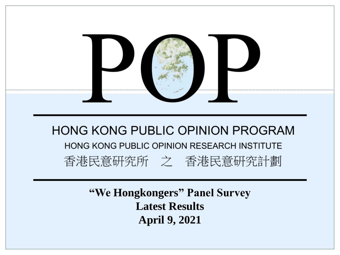

**"We Hongkongers" Panel Survey Latest Results April 9, 2021**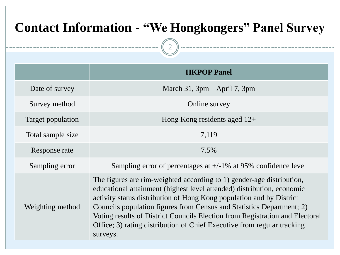| <b>Contact Information - "We Hongkongers" Panel Survey</b> |                                                                                                                                                                                                                                                                                                                                                                                                                                                                         |  |  |  |  |
|------------------------------------------------------------|-------------------------------------------------------------------------------------------------------------------------------------------------------------------------------------------------------------------------------------------------------------------------------------------------------------------------------------------------------------------------------------------------------------------------------------------------------------------------|--|--|--|--|
|                                                            |                                                                                                                                                                                                                                                                                                                                                                                                                                                                         |  |  |  |  |
|                                                            | <b>HKPOP Panel</b>                                                                                                                                                                                                                                                                                                                                                                                                                                                      |  |  |  |  |
| Date of survey                                             | March 31, $3pm - April 7$ , $3pm$                                                                                                                                                                                                                                                                                                                                                                                                                                       |  |  |  |  |
| Survey method                                              | Online survey                                                                                                                                                                                                                                                                                                                                                                                                                                                           |  |  |  |  |
| Target population                                          | Hong Kong residents aged $12+$                                                                                                                                                                                                                                                                                                                                                                                                                                          |  |  |  |  |
| Total sample size                                          | 7,119                                                                                                                                                                                                                                                                                                                                                                                                                                                                   |  |  |  |  |
| Response rate                                              | 7.5%                                                                                                                                                                                                                                                                                                                                                                                                                                                                    |  |  |  |  |
| Sampling error                                             | Sampling error of percentages at $+/-1\%$ at 95% confidence level                                                                                                                                                                                                                                                                                                                                                                                                       |  |  |  |  |
| Weighting method                                           | The figures are rim-weighted according to 1) gender-age distribution,<br>educational attainment (highest level attended) distribution, economic<br>activity status distribution of Hong Kong population and by District<br>Councils population figures from Census and Statistics Department; 2)<br>Voting results of District Councils Election from Registration and Electoral<br>Office; 3) rating distribution of Chief Executive from regular tracking<br>surveys. |  |  |  |  |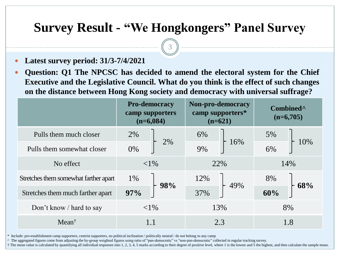3

- **Latest survey period: 31/3-7/4/2021**
- **Question: Q1 The NPCSC has decided to amend the electoral system for the Chief Executive and the Legislative Council. What do you think is the effect of such changes on the distance between Hong Kong society and democracy with universal suffrage?**

|                                       | <b>Pro-democracy</b><br>camp supporters<br>$(n=6,084)$ |        | Non-pro-democracy<br>camp supporters*<br>$(n=621)$ |     | Combined <sup>^</sup><br>$(n=6,705)$ |     |
|---------------------------------------|--------------------------------------------------------|--------|----------------------------------------------------|-----|--------------------------------------|-----|
| Pulls them much closer                | 2%                                                     | 2%     | 6%                                                 |     | 5%                                   |     |
| Pulls them somewhat closer            | 0%                                                     |        | 9%                                                 | 16% | $6\%$                                | 10% |
| No effect                             | ${<}1\%$                                               |        | 22%                                                |     | 14%                                  |     |
| Stretches them somewhat farther apart | 1%                                                     | $+98%$ | 12%                                                | 49% | 8%                                   | 68% |
| Stretches them much farther apart     | 97%                                                    |        | 37%                                                |     | 60%                                  |     |
| Don't know / hard to say              | ${<}1\%$                                               |        | 13%                                                |     |                                      | 8%  |
| $Mean^{\dagger}$                      |                                                        |        | 2.3                                                |     | 1.8                                  |     |

\* Include: pro-establishment camp supporters, centrist supporters, no political inclination / politically neutral / do not belong to any camp

^ The aggregated figures come from adjusting the by-group weighted figures using ratio of "pan-democratic" vs "non-pan-democratic" collected in regular tracking survey.

† The mean value is calculated by quantifying all individual responses into 1, 2, 3, 4, 5 marks according to their degree of positive level, where 1 is the lowest and 5 the highest, and then calculate the sample mean.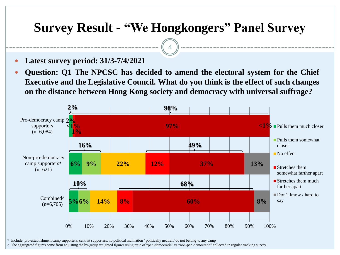4

- **Latest survey period: 31/3-7/4/2021**
- **Question: Q1 The NPCSC has decided to amend the electoral system for the Chief Executive and the Legislative Council. What do you think is the effect of such changes on the distance between Hong Kong society and democracy with universal suffrage?**



\* Include: pro-establishment camp supporters, centrist supporters, no political inclination / politically neutral / do not belong to any camp

^ The aggregated figures come from adjusting the by-group weighted figures using ratio of "pan-democratic" vs "non-pan-democratic" collected in regular tracking survey.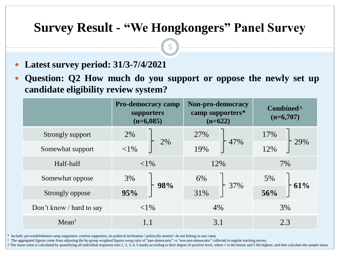5

- **Latest survey period: 31/3-7/4/2021**
- **Question: Q2 How much do you support or oppose the newly set up candidate eligibility review system?**

|                          | <b>Pro-democracy camp</b><br>supporters<br>$(n=6,085)$ | Non-pro-democracy<br>camp supporters*<br>$(n=622)$ | Combined <sup>^</sup><br>$(n=6,707)$ |  |
|--------------------------|--------------------------------------------------------|----------------------------------------------------|--------------------------------------|--|
| Strongly support         | 2%<br>2%                                               | 27%<br>$+47%$                                      | 17%<br>29%                           |  |
| Somewhat support         | ${<}1\%$                                               | 19%                                                | 12%                                  |  |
| Half-half                | ${<}1\%$                                               | 12%                                                | 7%                                   |  |
| Somewhat oppose          | 3%                                                     | 6%                                                 | 5%<br>61%                            |  |
| Strongly oppose          | 98%<br>95%                                             | $-37\%$<br>31%                                     | 56%                                  |  |
| Don't know / hard to say | ${<}1\%$                                               | 4%                                                 | 3%                                   |  |
| $Mean^{\dagger}$         | 1.1                                                    | 3.1                                                | 2.3                                  |  |

\* Include: pro-establishment camp supporters, centrist supporters, no political inclination / politically neutral / do not belong to any camp

^ The aggregated figures come from adjusting the by-group weighted figures using ratio of "pan-democratic" vs "non-pan-democratic" collected in regular tracking survey.

† The mean value is calculated by quantifying all individual responses into 1, 2, 3, 4, 5 marks according to their degree of positive level, where 1 is the lowest and 5 the highest, and then calculate the sample mean.